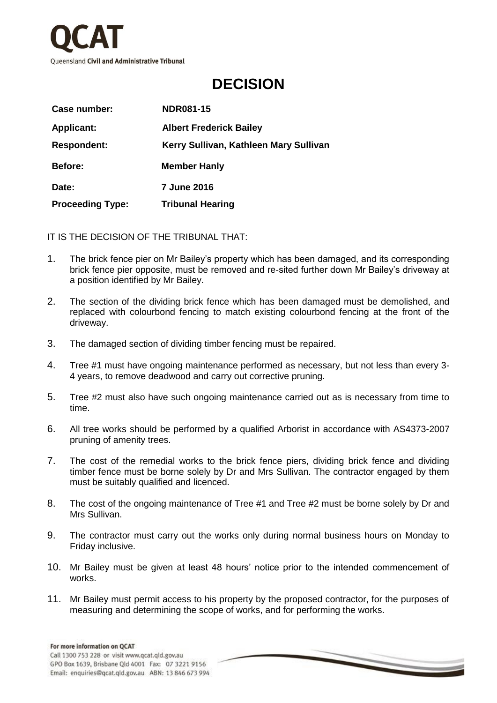

## **DECISION**

| Case number:            | <b>NDR081-15</b>                       |
|-------------------------|----------------------------------------|
| <b>Applicant:</b>       | <b>Albert Frederick Bailey</b>         |
| <b>Respondent:</b>      | Kerry Sullivan, Kathleen Mary Sullivan |
| <b>Before:</b>          | <b>Member Hanly</b>                    |
| Date:                   | <b>7 June 2016</b>                     |
| <b>Proceeding Type:</b> | <b>Tribunal Hearing</b>                |

IT IS THE DECISION OF THE TRIBUNAL THAT:

- 1. The brick fence pier on Mr Bailey's property which has been damaged, and its corresponding brick fence pier opposite, must be removed and re-sited further down Mr Bailey's driveway at a position identified by Mr Bailey.
- 2. The section of the dividing brick fence which has been damaged must be demolished, and replaced with colourbond fencing to match existing colourbond fencing at the front of the driveway.
- 3. The damaged section of dividing timber fencing must be repaired.
- 4. Tree #1 must have ongoing maintenance performed as necessary, but not less than every 3- 4 years, to remove deadwood and carry out corrective pruning.
- 5. Tree #2 must also have such ongoing maintenance carried out as is necessary from time to time.
- 6. All tree works should be performed by a qualified Arborist in accordance with AS4373-2007 pruning of amenity trees.
- 7. The cost of the remedial works to the brick fence piers, dividing brick fence and dividing timber fence must be borne solely by Dr and Mrs Sullivan. The contractor engaged by them must be suitably qualified and licenced.
- 8. The cost of the ongoing maintenance of Tree #1 and Tree #2 must be borne solely by Dr and Mrs Sullivan.
- 9. The contractor must carry out the works only during normal business hours on Monday to Friday inclusive.
- 10. Mr Bailey must be given at least 48 hours' notice prior to the intended commencement of works.
- 11. Mr Bailey must permit access to his property by the proposed contractor, for the purposes of measuring and determining the scope of works, and for performing the works.